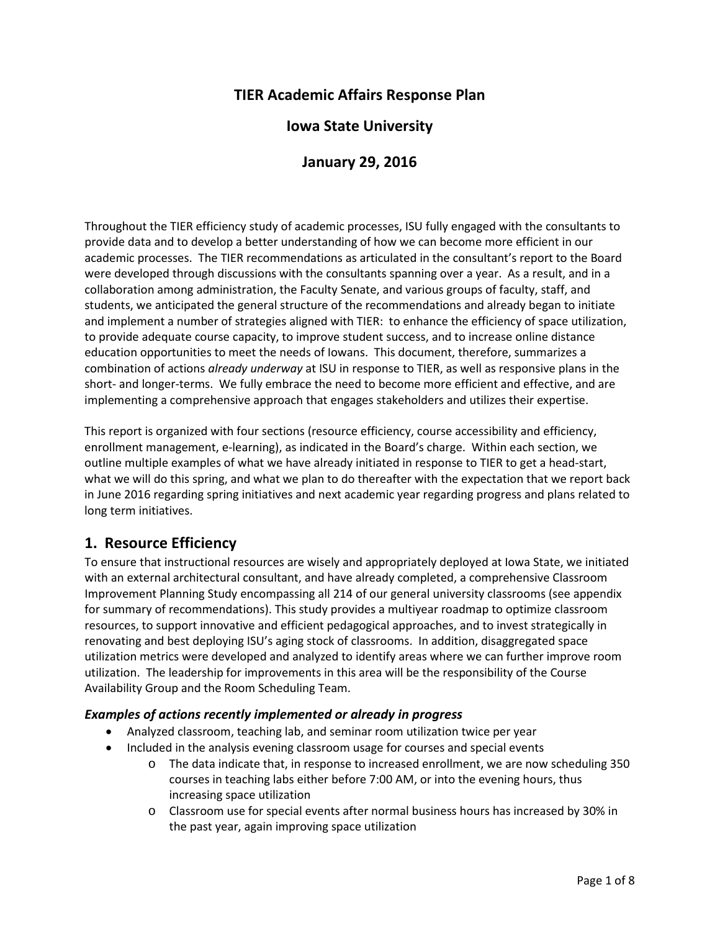# **TIER Academic Affairs Response Plan**

## **Iowa State University**

## **January 29, 2016**

Throughout the TIER efficiency study of academic processes, ISU fully engaged with the consultants to provide data and to develop a better understanding of how we can become more efficient in our academic processes. The TIER recommendations as articulated in the consultant's report to the Board were developed through discussions with the consultants spanning over a year. As a result, and in a collaboration among administration, the Faculty Senate, and various groups of faculty, staff, and students, we anticipated the general structure of the recommendations and already began to initiate and implement a number of strategies aligned with TIER: to enhance the efficiency of space utilization, to provide adequate course capacity, to improve student success, and to increase online distance education opportunities to meet the needs of Iowans. This document, therefore, summarizes a combination of actions *already underway* at ISU in response to TIER, as well as responsive plans in the short- and longer-terms. We fully embrace the need to become more efficient and effective, and are implementing a comprehensive approach that engages stakeholders and utilizes their expertise.

This report is organized with four sections (resource efficiency, course accessibility and efficiency, enrollment management, e-learning), as indicated in the Board's charge. Within each section, we outline multiple examples of what we have already initiated in response to TIER to get a head-start, what we will do this spring, and what we plan to do thereafter with the expectation that we report back in June 2016 regarding spring initiatives and next academic year regarding progress and plans related to long term initiatives.

## **1. Resource Efficiency**

To ensure that instructional resources are wisely and appropriately deployed at Iowa State, we initiated with an external architectural consultant, and have already completed, a comprehensive Classroom Improvement Planning Study encompassing all 214 of our general university classrooms (see appendix for summary of recommendations). This study provides a multiyear roadmap to optimize classroom resources, to support innovative and efficient pedagogical approaches, and to invest strategically in renovating and best deploying ISU's aging stock of classrooms. In addition, disaggregated space utilization metrics were developed and analyzed to identify areas where we can further improve room utilization. The leadership for improvements in this area will be the responsibility of the Course Availability Group and the Room Scheduling Team.

### *Examples of actions recently implemented or already in progress*

- Analyzed classroom, teaching lab, and seminar room utilization twice per year
- Included in the analysis evening classroom usage for courses and special events
	- o The data indicate that, in response to increased enrollment, we are now scheduling 350 courses in teaching labs either before 7:00 AM, or into the evening hours, thus increasing space utilization
	- o Classroom use for special events after normal business hours has increased by 30% in the past year, again improving space utilization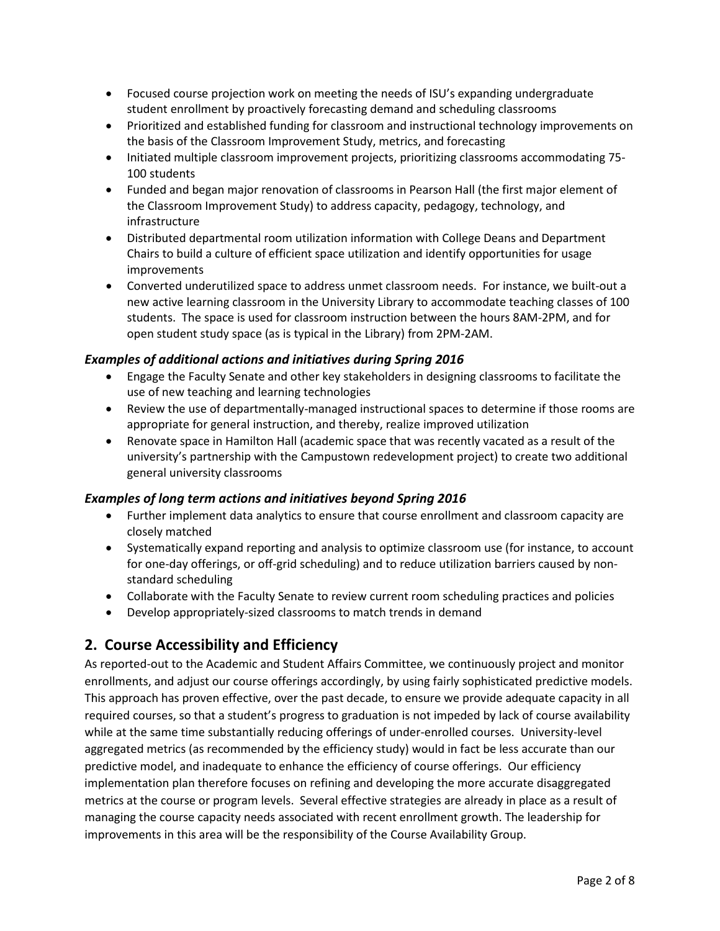- Focused course projection work on meeting the needs of ISU's expanding undergraduate student enrollment by proactively forecasting demand and scheduling classrooms
- Prioritized and established funding for classroom and instructional technology improvements on the basis of the Classroom Improvement Study, metrics, and forecasting
- Initiated multiple classroom improvement projects, prioritizing classrooms accommodating 75- 100 students
- Funded and began major renovation of classrooms in Pearson Hall (the first major element of the Classroom Improvement Study) to address capacity, pedagogy, technology, and infrastructure
- Distributed departmental room utilization information with College Deans and Department Chairs to build a culture of efficient space utilization and identify opportunities for usage improvements
- Converted underutilized space to address unmet classroom needs. For instance, we built-out a new active learning classroom in the University Library to accommodate teaching classes of 100 students. The space is used for classroom instruction between the hours 8AM-2PM, and for open student study space (as is typical in the Library) from 2PM-2AM.

### *Examples of additional actions and initiatives during Spring 2016*

- Engage the Faculty Senate and other key stakeholders in designing classrooms to facilitate the use of new teaching and learning technologies
- Review the use of departmentally-managed instructional spaces to determine if those rooms are appropriate for general instruction, and thereby, realize improved utilization
- Renovate space in Hamilton Hall (academic space that was recently vacated as a result of the university's partnership with the Campustown redevelopment project) to create two additional general university classrooms

#### *Examples of long term actions and initiatives beyond Spring 2016*

- Further implement data analytics to ensure that course enrollment and classroom capacity are closely matched
- Systematically expand reporting and analysis to optimize classroom use (for instance, to account for one-day offerings, or off-grid scheduling) and to reduce utilization barriers caused by nonstandard scheduling
- Collaborate with the Faculty Senate to review current room scheduling practices and policies
- Develop appropriately-sized classrooms to match trends in demand

## **2. Course Accessibility and Efficiency**

As reported-out to the Academic and Student Affairs Committee, we continuously project and monitor enrollments, and adjust our course offerings accordingly, by using fairly sophisticated predictive models. This approach has proven effective, over the past decade, to ensure we provide adequate capacity in all required courses, so that a student's progress to graduation is not impeded by lack of course availability while at the same time substantially reducing offerings of under-enrolled courses. University-level aggregated metrics (as recommended by the efficiency study) would in fact be less accurate than our predictive model, and inadequate to enhance the efficiency of course offerings. Our efficiency implementation plan therefore focuses on refining and developing the more accurate disaggregated metrics at the course or program levels. Several effective strategies are already in place as a result of managing the course capacity needs associated with recent enrollment growth. The leadership for improvements in this area will be the responsibility of the Course Availability Group.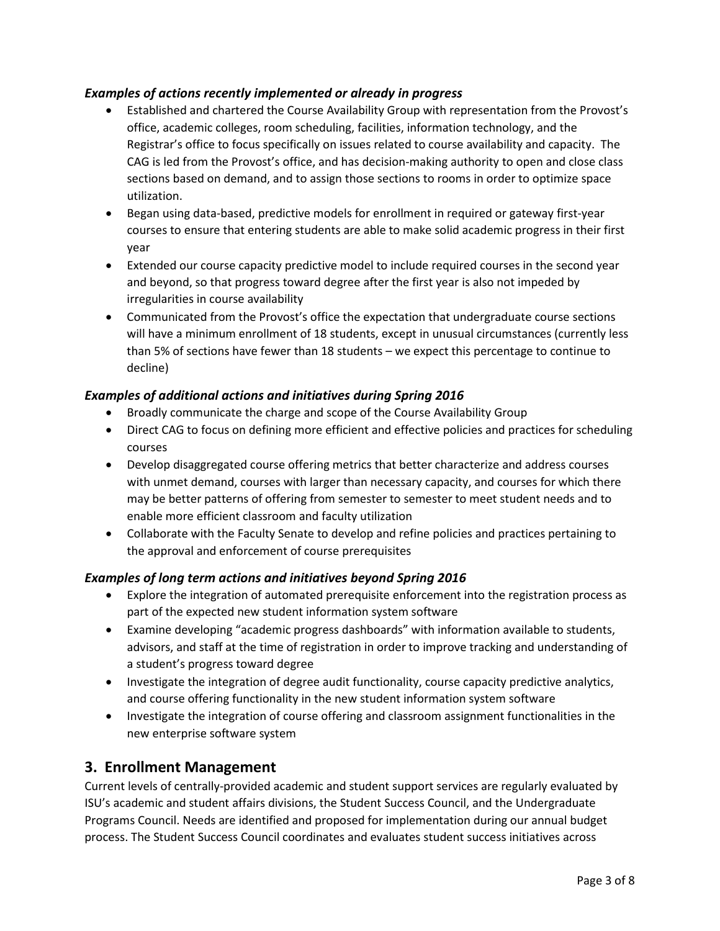### *Examples of actions recently implemented or already in progress*

- Established and chartered the Course Availability Group with representation from the Provost's office, academic colleges, room scheduling, facilities, information technology, and the Registrar's office to focus specifically on issues related to course availability and capacity. The CAG is led from the Provost's office, and has decision-making authority to open and close class sections based on demand, and to assign those sections to rooms in order to optimize space utilization.
- Began using data-based, predictive models for enrollment in required or gateway first-year courses to ensure that entering students are able to make solid academic progress in their first year
- Extended our course capacity predictive model to include required courses in the second year and beyond, so that progress toward degree after the first year is also not impeded by irregularities in course availability
- Communicated from the Provost's office the expectation that undergraduate course sections will have a minimum enrollment of 18 students, except in unusual circumstances (currently less than 5% of sections have fewer than 18 students – we expect this percentage to continue to decline)

### *Examples of additional actions and initiatives during Spring 2016*

- Broadly communicate the charge and scope of the Course Availability Group
- Direct CAG to focus on defining more efficient and effective policies and practices for scheduling courses
- Develop disaggregated course offering metrics that better characterize and address courses with unmet demand, courses with larger than necessary capacity, and courses for which there may be better patterns of offering from semester to semester to meet student needs and to enable more efficient classroom and faculty utilization
- Collaborate with the Faculty Senate to develop and refine policies and practices pertaining to the approval and enforcement of course prerequisites

### *Examples of long term actions and initiatives beyond Spring 2016*

- Explore the integration of automated prerequisite enforcement into the registration process as part of the expected new student information system software
- Examine developing "academic progress dashboards" with information available to students, advisors, and staff at the time of registration in order to improve tracking and understanding of a student's progress toward degree
- Investigate the integration of degree audit functionality, course capacity predictive analytics, and course offering functionality in the new student information system software
- Investigate the integration of course offering and classroom assignment functionalities in the new enterprise software system

### **3. Enrollment Management**

Current levels of centrally-provided academic and student support services are regularly evaluated by ISU's academic and student affairs divisions, the Student Success Council, and the Undergraduate Programs Council. Needs are identified and proposed for implementation during our annual budget process. The Student Success Council coordinates and evaluates student success initiatives across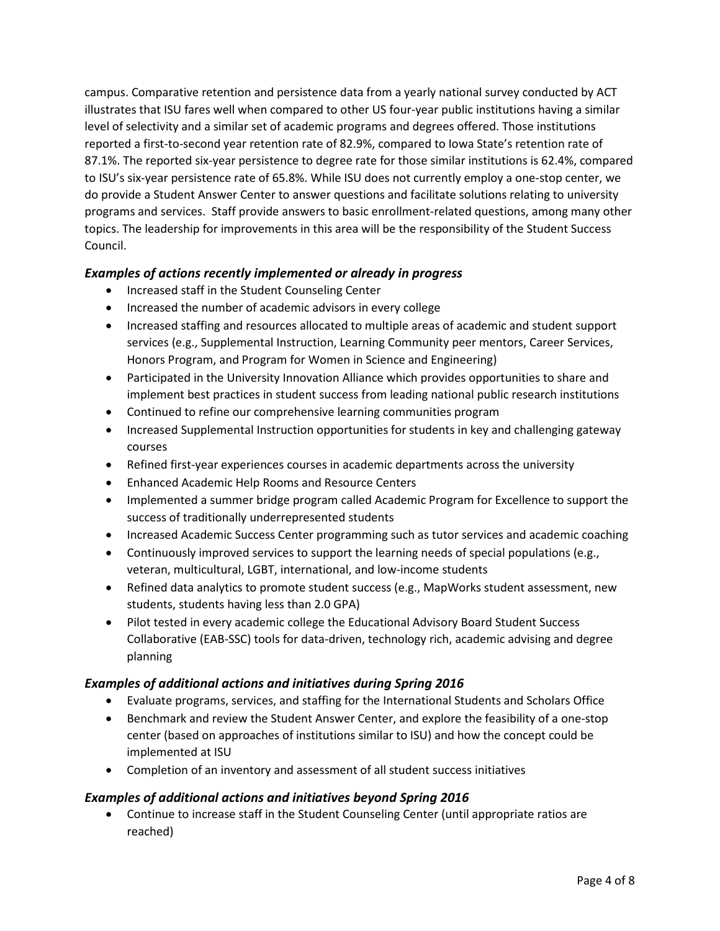campus. Comparative retention and persistence data from a yearly national survey conducted by ACT illustrates that ISU fares well when compared to other US four-year public institutions having a similar level of selectivity and a similar set of academic programs and degrees offered. Those institutions reported a first-to-second year retention rate of 82.9%, compared to Iowa State's retention rate of 87.1%. The reported six-year persistence to degree rate for those similar institutions is 62.4%, compared to ISU's six-year persistence rate of 65.8%. While ISU does not currently employ a one-stop center, we do provide a Student Answer Center to answer questions and facilitate solutions relating to university programs and services. Staff provide answers to basic enrollment-related questions, among many other topics. The leadership for improvements in this area will be the responsibility of the Student Success Council.

### *Examples of actions recently implemented or already in progress*

- Increased staff in the Student Counseling Center
- Increased the number of academic advisors in every college
- Increased staffing and resources allocated to multiple areas of academic and student support services (e.g., Supplemental Instruction, Learning Community peer mentors, Career Services, Honors Program, and Program for Women in Science and Engineering)
- Participated in the University Innovation Alliance which provides opportunities to share and implement best practices in student success from leading national public research institutions
- Continued to refine our comprehensive learning communities program
- Increased Supplemental Instruction opportunities for students in key and challenging gateway courses
- Refined first-year experiences courses in academic departments across the university
- Enhanced Academic Help Rooms and Resource Centers
- Implemented a summer bridge program called Academic Program for Excellence to support the success of traditionally underrepresented students
- Increased Academic Success Center programming such as tutor services and academic coaching
- Continuously improved services to support the learning needs of special populations (e.g., veteran, multicultural, LGBT, international, and low-income students
- Refined data analytics to promote student success (e.g., MapWorks student assessment, new students, students having less than 2.0 GPA)
- Pilot tested in every academic college the Educational Advisory Board Student Success Collaborative (EAB-SSC) tools for data-driven, technology rich, academic advising and degree planning

### *Examples of additional actions and initiatives during Spring 2016*

- Evaluate programs, services, and staffing for the International Students and Scholars Office
- Benchmark and review the Student Answer Center, and explore the feasibility of a one-stop center (based on approaches of institutions similar to ISU) and how the concept could be implemented at ISU
- Completion of an inventory and assessment of all student success initiatives

### *Examples of additional actions and initiatives beyond Spring 2016*

• Continue to increase staff in the Student Counseling Center (until appropriate ratios are reached)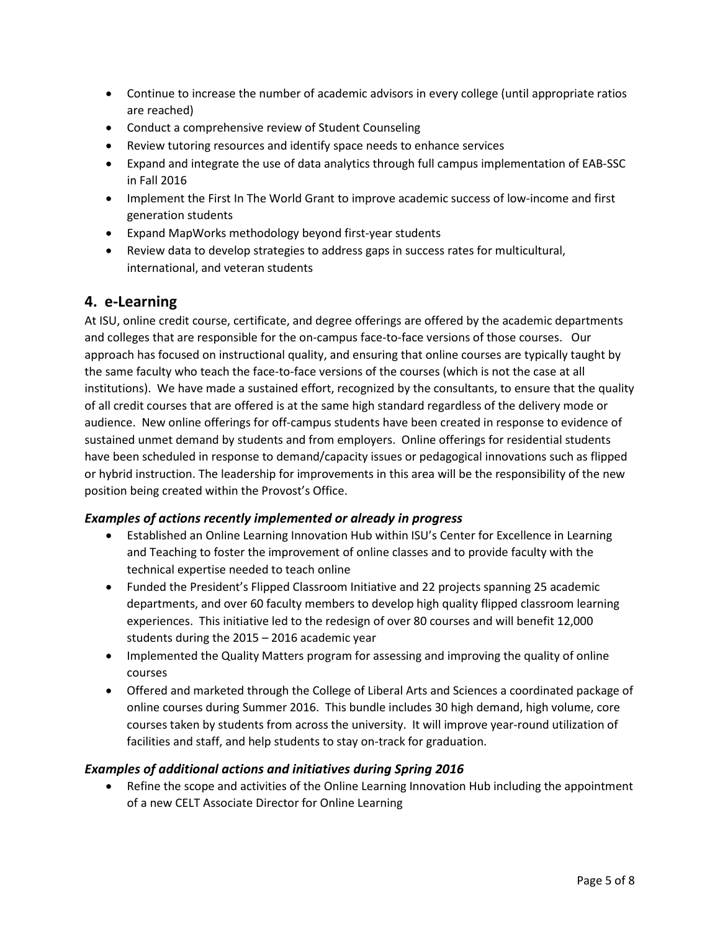- Continue to increase the number of academic advisors in every college (until appropriate ratios are reached)
- Conduct a comprehensive review of Student Counseling
- Review tutoring resources and identify space needs to enhance services
- Expand and integrate the use of data analytics through full campus implementation of EAB-SSC in Fall 2016
- Implement the First In The World Grant to improve academic success of low-income and first generation students
- Expand MapWorks methodology beyond first-year students
- Review data to develop strategies to address gaps in success rates for multicultural, international, and veteran students

## **4. e-Learning**

At ISU, online credit course, certificate, and degree offerings are offered by the academic departments and colleges that are responsible for the on-campus face-to-face versions of those courses. Our approach has focused on instructional quality, and ensuring that online courses are typically taught by the same faculty who teach the face-to-face versions of the courses (which is not the case at all institutions). We have made a sustained effort, recognized by the consultants, to ensure that the quality of all credit courses that are offered is at the same high standard regardless of the delivery mode or audience. New online offerings for off-campus students have been created in response to evidence of sustained unmet demand by students and from employers. Online offerings for residential students have been scheduled in response to demand/capacity issues or pedagogical innovations such as flipped or hybrid instruction. The leadership for improvements in this area will be the responsibility of the new position being created within the Provost's Office.

### *Examples of actions recently implemented or already in progress*

- Established an Online Learning Innovation Hub within ISU's Center for Excellence in Learning and Teaching to foster the improvement of online classes and to provide faculty with the technical expertise needed to teach online
- Funded the President's Flipped Classroom Initiative and 22 projects spanning 25 academic departments, and over 60 faculty members to develop high quality flipped classroom learning experiences. This initiative led to the redesign of over 80 courses and will benefit 12,000 students during the 2015 – 2016 academic year
- Implemented the Quality Matters program for assessing and improving the quality of online courses
- Offered and marketed through the College of Liberal Arts and Sciences a coordinated package of online courses during Summer 2016. This bundle includes 30 high demand, high volume, core courses taken by students from across the university. It will improve year-round utilization of facilities and staff, and help students to stay on-track for graduation.

### *Examples of additional actions and initiatives during Spring 2016*

• Refine the scope and activities of the Online Learning Innovation Hub including the appointment of a new CELT Associate Director for Online Learning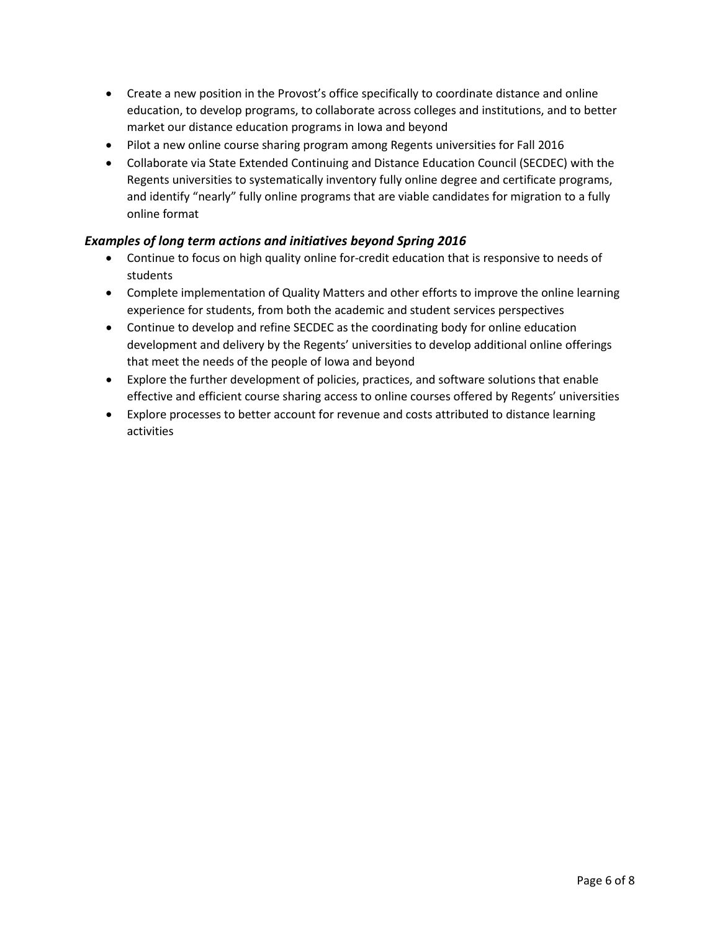- Create a new position in the Provost's office specifically to coordinate distance and online education, to develop programs, to collaborate across colleges and institutions, and to better market our distance education programs in Iowa and beyond
- Pilot a new online course sharing program among Regents universities for Fall 2016
- Collaborate via State Extended Continuing and Distance Education Council (SECDEC) with the Regents universities to systematically inventory fully online degree and certificate programs, and identify "nearly" fully online programs that are viable candidates for migration to a fully online format

### *Examples of long term actions and initiatives beyond Spring 2016*

- Continue to focus on high quality online for-credit education that is responsive to needs of students
- Complete implementation of Quality Matters and other efforts to improve the online learning experience for students, from both the academic and student services perspectives
- Continue to develop and refine SECDEC as the coordinating body for online education development and delivery by the Regents' universities to develop additional online offerings that meet the needs of the people of Iowa and beyond
- Explore the further development of policies, practices, and software solutions that enable effective and efficient course sharing access to online courses offered by Regents' universities
- Explore processes to better account for revenue and costs attributed to distance learning activities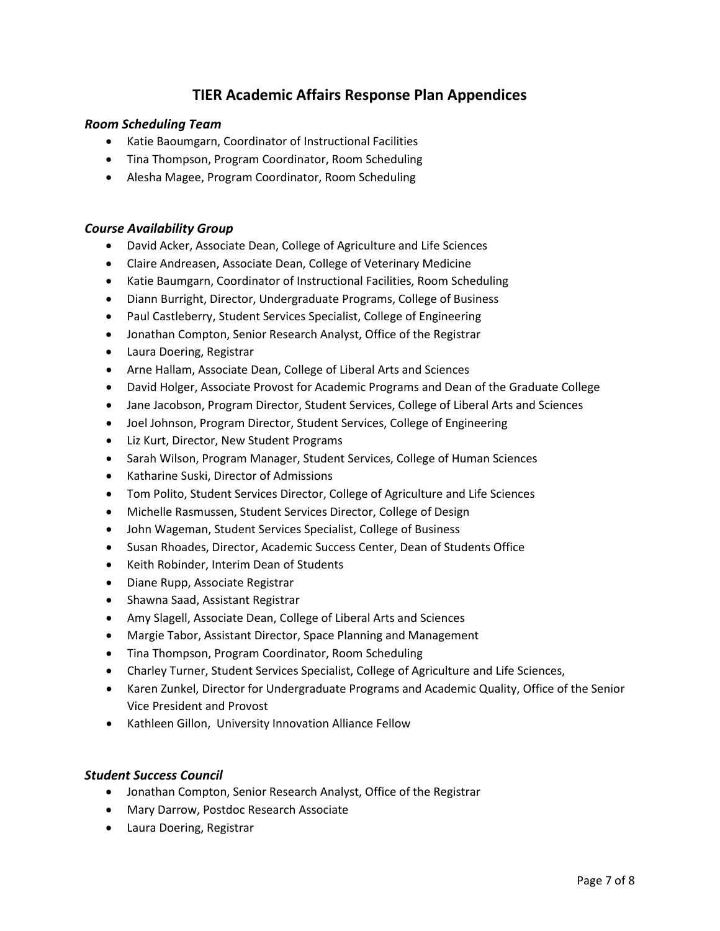# **TIER Academic Affairs Response Plan Appendices**

#### *Room Scheduling Team*

- Katie Baoumgarn, Coordinator of Instructional Facilities
- Tina Thompson, Program Coordinator, Room Scheduling
- Alesha Magee, Program Coordinator, Room Scheduling

#### *Course Availability Group*

- David Acker, Associate Dean, College of Agriculture and Life Sciences
- Claire Andreasen, Associate Dean, College of Veterinary Medicine
- Katie Baumgarn, Coordinator of Instructional Facilities, Room Scheduling
- Diann Burright, Director, Undergraduate Programs, College of Business
- Paul Castleberry, Student Services Specialist, College of Engineering
- Jonathan Compton, Senior Research Analyst, Office of the Registrar
- Laura Doering, Registrar
- Arne Hallam, Associate Dean, College of Liberal Arts and Sciences
- David Holger, Associate Provost for Academic Programs and Dean of the Graduate College
- Jane Jacobson, Program Director, Student Services, College of Liberal Arts and Sciences
- Joel Johnson, Program Director, Student Services, College of Engineering
- Liz Kurt, Director, New Student Programs
- Sarah Wilson, Program Manager, Student Services, College of Human Sciences
- Katharine Suski, Director of Admissions
- Tom Polito, Student Services Director, College of Agriculture and Life Sciences
- Michelle Rasmussen, Student Services Director, College of Design
- John Wageman, Student Services Specialist, College of Business
- Susan Rhoades, Director, Academic Success Center, Dean of Students Office
- Keith Robinder, Interim Dean of Students
- Diane Rupp, Associate Registrar
- Shawna Saad, Assistant Registrar
- Amy Slagell, Associate Dean, College of Liberal Arts and Sciences
- Margie Tabor, Assistant Director, Space Planning and Management
- Tina Thompson, Program Coordinator, Room Scheduling
- Charley Turner, Student Services Specialist, College of Agriculture and Life Sciences,
- Karen Zunkel, Director for Undergraduate Programs and Academic Quality, Office of the Senior Vice President and Provost
- Kathleen Gillon, University Innovation Alliance Fellow

#### *Student Success Council*

- Jonathan Compton, Senior Research Analyst, Office of the Registrar
- Mary Darrow, Postdoc Research Associate
- Laura Doering, Registrar